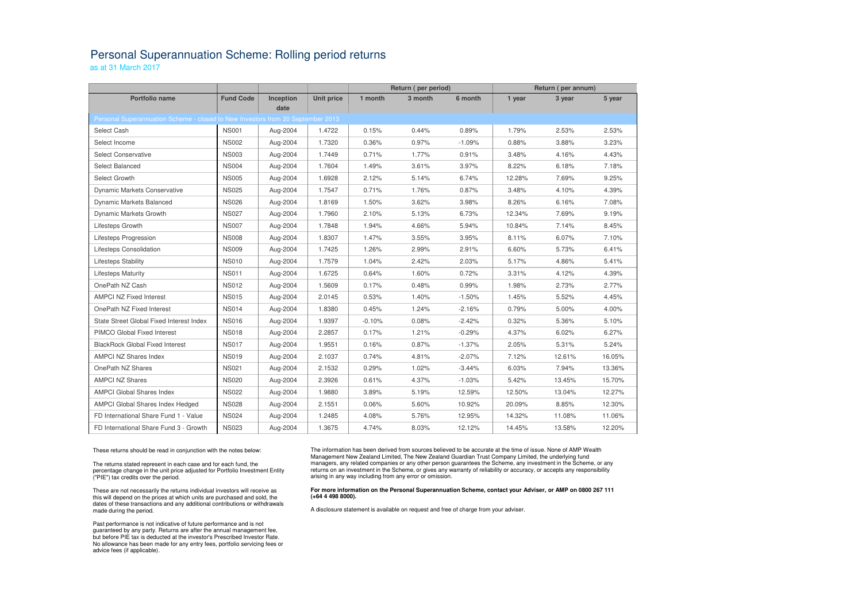## Personal Superannuation Scheme: Rolling period returns

as at 31 March 2017

|                                                                                         |                  |           |                   | Return (per period) |         | Return (per annum) |        |        |        |  |  |  |  |
|-----------------------------------------------------------------------------------------|------------------|-----------|-------------------|---------------------|---------|--------------------|--------|--------|--------|--|--|--|--|
| <b>Portfolio name</b>                                                                   | <b>Fund Code</b> | Inception | <b>Unit price</b> | 1 month             | 3 month | 6 month            | 1 year | 3 year | 5 year |  |  |  |  |
| date<br>Personal Superannuation Scheme - closed to New Investors from 20 September 2013 |                  |           |                   |                     |         |                    |        |        |        |  |  |  |  |
| Select Cash                                                                             | <b>NS001</b>     | Aug-2004  | 1.4722            | 0.15%               | 0.44%   | 0.89%              | 1.79%  | 2.53%  | 2.53%  |  |  |  |  |
| Select Income                                                                           | <b>NS002</b>     | Aug-2004  | 1.7320            | 0.36%               | 0.97%   | $-1.09%$           | 0.88%  | 3.88%  | 3.23%  |  |  |  |  |
| <b>Select Conservative</b>                                                              | <b>NS003</b>     | Aug-2004  | 1.7449            | 0.71%               | 1.77%   | 0.91%              | 3.48%  | 4.16%  | 4.43%  |  |  |  |  |
| Select Balanced                                                                         | <b>NS004</b>     | Aug-2004  | 1.7604            | 1.49%               | 3.61%   | 3.97%              | 8.22%  | 6.18%  | 7.18%  |  |  |  |  |
| Select Growth                                                                           | <b>NS005</b>     | Aug-2004  | 1.6928            | 2.12%               | 5.14%   | 6.74%              | 12.28% | 7.69%  | 9.25%  |  |  |  |  |
| <b>Dynamic Markets Conservative</b>                                                     | <b>NS025</b>     | Aug-2004  | 1.7547            | 0.71%               | 1.76%   | 0.87%              | 3.48%  | 4.10%  | 4.39%  |  |  |  |  |
| Dynamic Markets Balanced                                                                | <b>NS026</b>     | Aug-2004  | 1.8169            | 1.50%               | 3.62%   | 3.98%              | 8.26%  | 6.16%  | 7.08%  |  |  |  |  |
| Dynamic Markets Growth                                                                  | <b>NS027</b>     | Aug-2004  | 1.7960            | 2.10%               | 5.13%   | 6.73%              | 12.34% | 7.69%  | 9.19%  |  |  |  |  |
| Lifesteps Growth                                                                        | <b>NS007</b>     | Aug-2004  | 1.7848            | 1.94%               | 4.66%   | 5.94%              | 10.84% | 7.14%  | 8.45%  |  |  |  |  |
| Lifesteps Progression                                                                   | <b>NS008</b>     | Aug-2004  | 1.8307            | 1.47%               | 3.55%   | 3.95%              | 8.11%  | 6.07%  | 7.10%  |  |  |  |  |
| Lifesteps Consolidation                                                                 | <b>NS009</b>     | Aug-2004  | 1.7425            | 1.26%               | 2.99%   | 2.91%              | 6.60%  | 5.73%  | 6.41%  |  |  |  |  |
| <b>Lifesteps Stability</b>                                                              | <b>NS010</b>     | Aug-2004  | 1.7579            | 1.04%               | 2.42%   | 2.03%              | 5.17%  | 4.86%  | 5.41%  |  |  |  |  |
| <b>Lifesteps Maturity</b>                                                               | <b>NS011</b>     | Aug-2004  | 1.6725            | 0.64%               | 1.60%   | 0.72%              | 3.31%  | 4.12%  | 4.39%  |  |  |  |  |
| OnePath NZ Cash                                                                         | <b>NS012</b>     | Aug-2004  | 1.5609            | 0.17%               | 0.48%   | 0.99%              | 1.98%  | 2.73%  | 2.77%  |  |  |  |  |
| <b>AMPCI NZ Fixed Interest</b>                                                          | <b>NS015</b>     | Aug-2004  | 2.0145            | 0.53%               | 1.40%   | $-1.50%$           | 1.45%  | 5.52%  | 4.45%  |  |  |  |  |
| OnePath NZ Fixed Interest                                                               | <b>NS014</b>     | Aug-2004  | 1.8380            | 0.45%               | 1.24%   | $-2.16%$           | 0.79%  | 5.00%  | 4.00%  |  |  |  |  |
| State Street Global Fixed Interest Index                                                | <b>NS016</b>     | Aug-2004  | 1.9397            | $-0.10%$            | 0.08%   | $-2.42%$           | 0.32%  | 5.36%  | 5.10%  |  |  |  |  |
| PIMCO Global Fixed Interest                                                             | <b>NS018</b>     | Aug-2004  | 2.2857            | 0.17%               | 1.21%   | $-0.29%$           | 4.37%  | 6.02%  | 6.27%  |  |  |  |  |
| <b>BlackRock Global Fixed Interest</b>                                                  | <b>NS017</b>     | Aug-2004  | 1.9551            | 0.16%               | 0.87%   | $-1.37%$           | 2.05%  | 5.31%  | 5.24%  |  |  |  |  |
| AMPCI NZ Shares Index                                                                   | <b>NS019</b>     | Aug-2004  | 2.1037            | 0.74%               | 4.81%   | $-2.07%$           | 7.12%  | 12.61% | 16.05% |  |  |  |  |
| OnePath NZ Shares                                                                       | <b>NS021</b>     | Aug-2004  | 2.1532            | 0.29%               | 1.02%   | $-3.44%$           | 6.03%  | 7.94%  | 13.36% |  |  |  |  |
| <b>AMPCI NZ Shares</b>                                                                  | <b>NS020</b>     | Aug-2004  | 2.3926            | 0.61%               | 4.37%   | $-1.03%$           | 5.42%  | 13.45% | 15.70% |  |  |  |  |
| <b>AMPCI Global Shares Index</b>                                                        | <b>NS022</b>     | Aug-2004  | 1.9880            | 3.89%               | 5.19%   | 12.59%             | 12.50% | 13.04% | 12.27% |  |  |  |  |
| AMPCI Global Shares Index Hedged                                                        | <b>NS028</b>     | Aug-2004  | 2.1551            | 0.06%               | 5.60%   | 10.92%             | 20.09% | 8.85%  | 12.30% |  |  |  |  |
| FD International Share Fund 1 - Value                                                   | <b>NS024</b>     | Aug-2004  | 1.2485            | 4.08%               | 5.76%   | 12.95%             | 14.32% | 11.08% | 11.06% |  |  |  |  |
| FD International Share Fund 3 - Growth                                                  | <b>NS023</b>     | Aug-2004  | 1.3675            | 4.74%               | 8.03%   | 12.12%             | 14.45% | 13.58% | 12.20% |  |  |  |  |

These returns should be read in conjunction with the notes below:

The returns stated represent in each case and for each fund, the percentage change in the unit price adjusted for Portfolio Investment Entity ("PIE") tax credits over the period.

These are not necessarily the returns individual investors will receive as this will depend on the prices at which units are purchased and sold, the dates of these transactions and any additional contributions or withdrawals made during the period.

Past performance is not indicative of future performance and is not guaranteed by any party. Returns are after the annual management fee, but before PIE tax is deducted at the investor's Prescribed Investor Rate. No allowance has been made for any entry fees, portfolio servicing fees or advice fees (if applicable).

The information has been derived from sources believed to be accurate at the time of issue. None of AMP Wealth Management New Zealand Limited, The New Zealand Guardian Trust Company Limited, the underlying fund managers, any related companies or any other person guarantees the Scheme, any investment in the Scheme, or any returns on an investment in the Scheme, or gives any warranty of reliability or accuracy, or accepts any responsibility arising in any way including from any error or omission.

## **For more information on the Personal Superannuation Scheme, contact your Adviser, or AMP on 0800 267 111 (+64 4 498 8000).**

A disclosure statement is available on request and free of charge from your adviser.